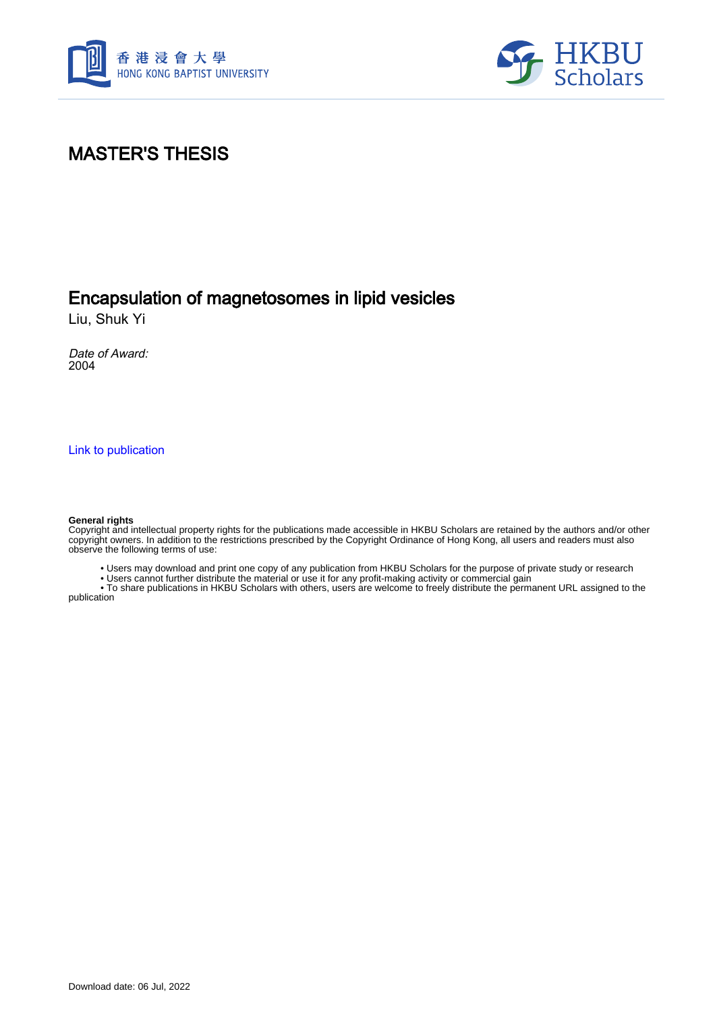



# MASTER'S THESIS

# Encapsulation of magnetosomes in lipid vesicles

Liu, Shuk Yi

Date of Award: 2004

[Link to publication](https://scholars.hkbu.edu.hk/en/studentTheses/f03c5112-82b9-442a-92db-5adc81ca5a9d)

#### **General rights**

Copyright and intellectual property rights for the publications made accessible in HKBU Scholars are retained by the authors and/or other copyright owners. In addition to the restrictions prescribed by the Copyright Ordinance of Hong Kong, all users and readers must also observe the following terms of use:

• Users may download and print one copy of any publication from HKBU Scholars for the purpose of private study or research

• Users cannot further distribute the material or use it for any profit-making activity or commercial gain

 • To share publications in HKBU Scholars with others, users are welcome to freely distribute the permanent URL assigned to the publication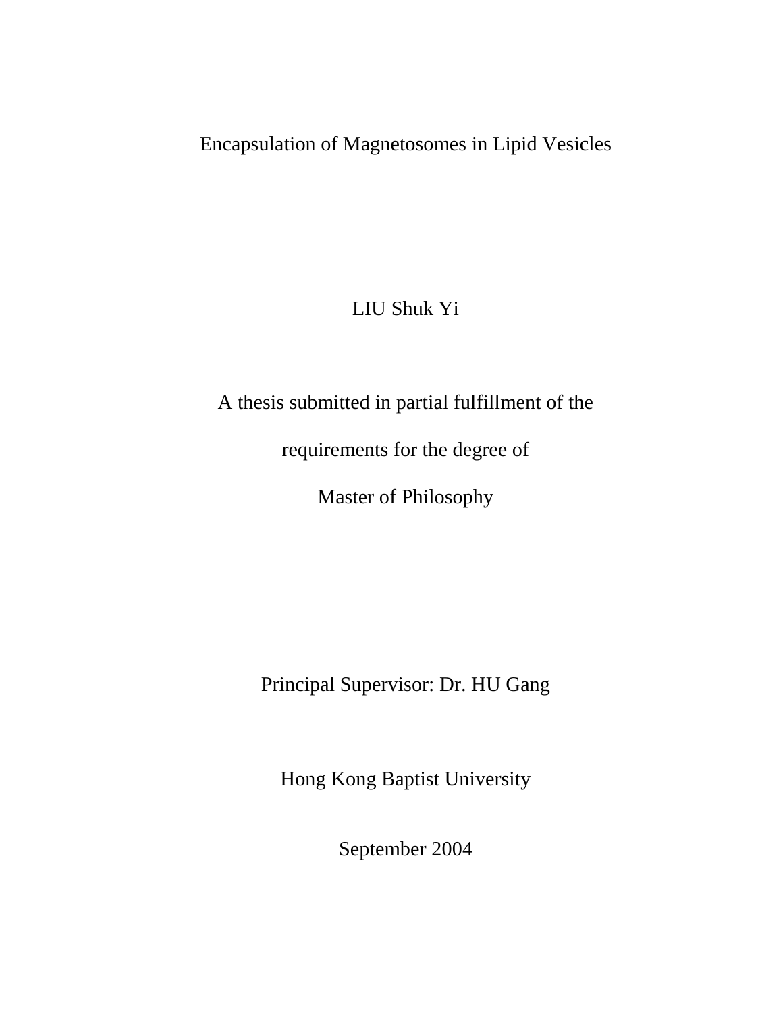# Encapsulation of Magnetosomes in Lipid Vesicles

# LIU Shuk Yi

# A thesis submitted in partial fulfillment of the

requirements for the degree of

Master of Philosophy

Principal Supervisor: Dr. HU Gang

Hong Kong Baptist University

September 2004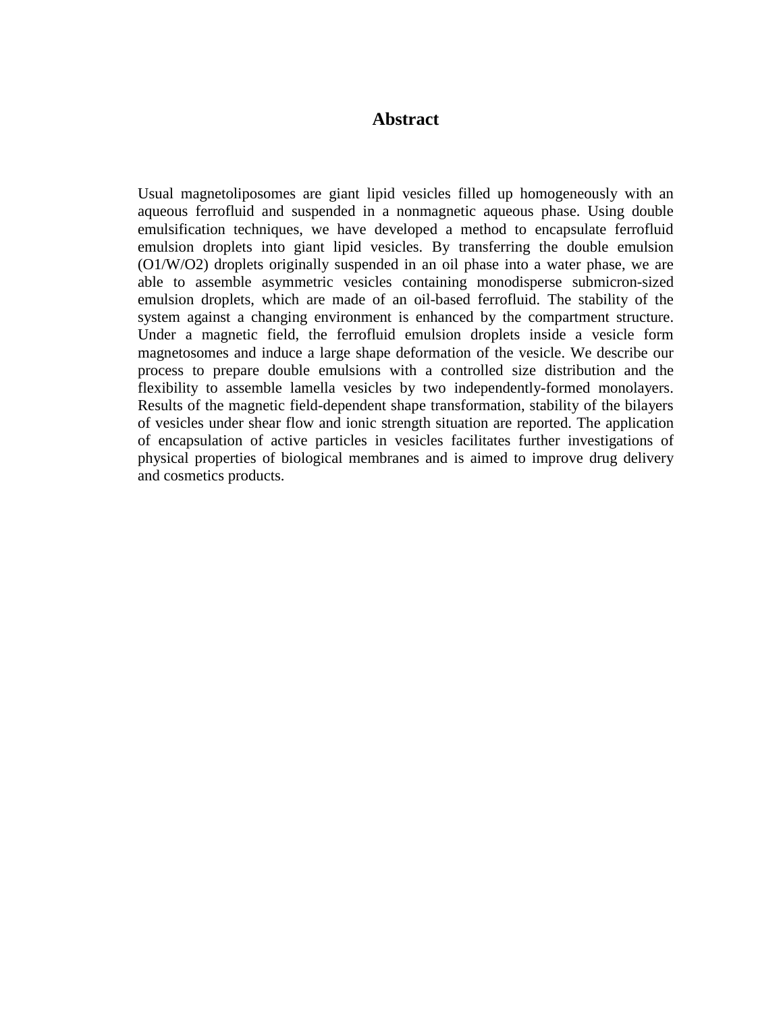### **Abstract**

Usual magnetoliposomes are giant lipid vesicles filled up homogeneously with an aqueous ferrofluid and suspended in a nonmagnetic aqueous phase. Using double emulsification techniques, we have developed a method to encapsulate ferrofluid emulsion droplets into giant lipid vesicles. By transferring the double emulsion (O1/W/O2) droplets originally suspended in an oil phase into a water phase, we are able to assemble asymmetric vesicles containing monodisperse submicron-sized emulsion droplets, which are made of an oil-based ferrofluid. The stability of the system against a changing environment is enhanced by the compartment structure. Under a magnetic field, the ferrofluid emulsion droplets inside a vesicle form magnetosomes and induce a large shape deformation of the vesicle. We describe our process to prepare double emulsions with a controlled size distribution and the flexibility to assemble lamella vesicles by two independently-formed monolayers. Results of the magnetic field-dependent shape transformation, stability of the bilayers of vesicles under shear flow and ionic strength situation are reported. The application of encapsulation of active particles in vesicles facilitates further investigations of physical properties of biological membranes and is aimed to improve drug delivery and cosmetics products.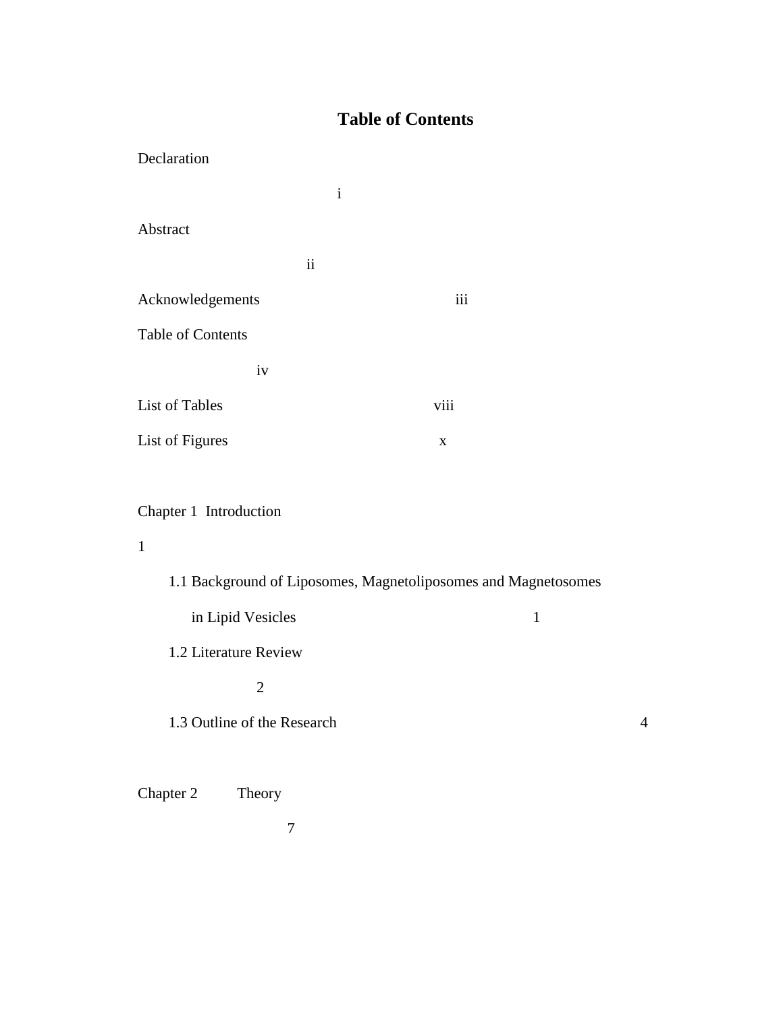## **Table of Contents**

| $\mathbf{i}$    |             |
|-----------------|-------------|
|                 |             |
| $\ddot{\rm ii}$ |             |
|                 | iii         |
|                 |             |
|                 |             |
|                 | viii        |
|                 | $\mathbf X$ |
|                 |             |

## Chapter 1 Introduction

## 1

| 1.1 Background of Liposomes, Magnetoliposomes and Magnetosomes |   |   |
|----------------------------------------------------------------|---|---|
| in Lipid Vesicles                                              | 1 |   |
| 1.2 Literature Review                                          |   |   |
| $\mathcal{D}_{\mathcal{L}}$                                    |   |   |
| 1.3 Outline of the Research                                    |   | 4 |
|                                                                |   |   |

Chapter 2 Theory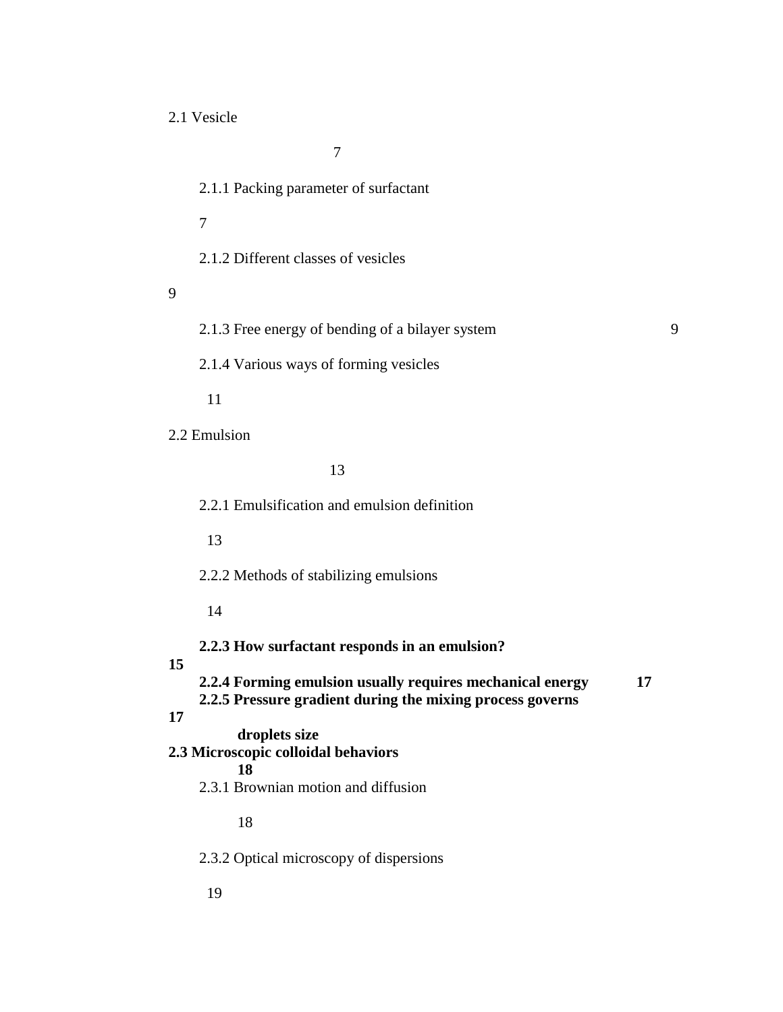2.1 Vesicle

7

2.1.1 Packing parameter of surfactant

7

2.1.2 Different classes of vesicles

9

2.1.3 Free energy of bending of a bilayer system 9

2.1.4 Various ways of forming vesicles

11

2.2 Emulsion

13

2.2.1 Emulsification and emulsion definition

13

2.2.2 Methods of stabilizing emulsions

14

**2.2.3 How surfactant responds in an emulsion?** 

### **15**

**2.2.4 Forming emulsion usually requires mechanical energy 17 2.2.5 Pressure gradient during the mixing process governs 17 droplets size 2.3 Microscopic colloidal behaviors 18**  2.3.1 Brownian motion and diffusion 18

2.3.2 Optical microscopy of dispersions

19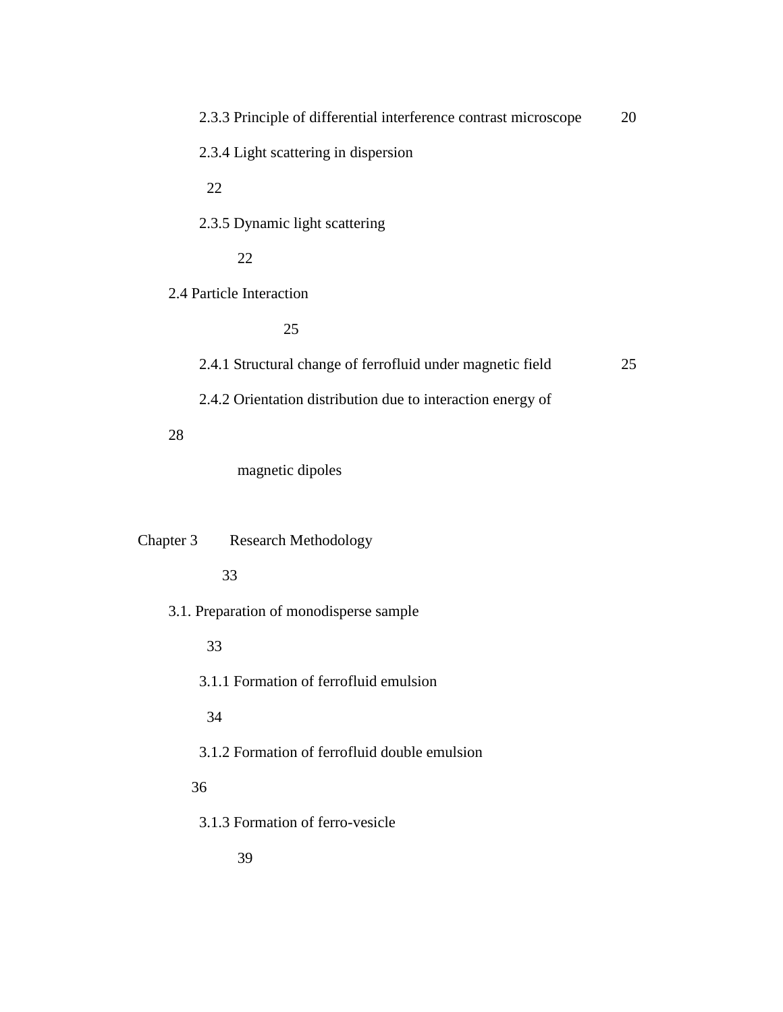| 2.3.3 Principle of differential interference contrast microscope | 20 |
|------------------------------------------------------------------|----|
| 2.3.4 Light scattering in dispersion                             |    |
| 22                                                               |    |
| 2.3.5 Dynamic light scattering                                   |    |
| 22                                                               |    |
| 2.4 Particle Interaction                                         |    |
| 25                                                               |    |
| 2.4.1 Structural change of ferrofluid under magnetic field       | 25 |
| 2.4.2 Orientation distribution due to interaction energy of      |    |
| 28                                                               |    |
| magnetic dipoles                                                 |    |
|                                                                  |    |
| Chapter 3<br><b>Research Methodology</b>                         |    |
| 33                                                               |    |
| 3.1. Preparation of monodisperse sample                          |    |
| 33                                                               |    |
| 3.1.1 Formation of ferrofluid emulsion                           |    |
| 34                                                               |    |
| 3.1.2 Formation of ferrofluid double emulsion                    |    |
|                                                                  |    |
| 36                                                               |    |
| 3.1.3 Formation of ferro-vesicle                                 |    |
| 39                                                               |    |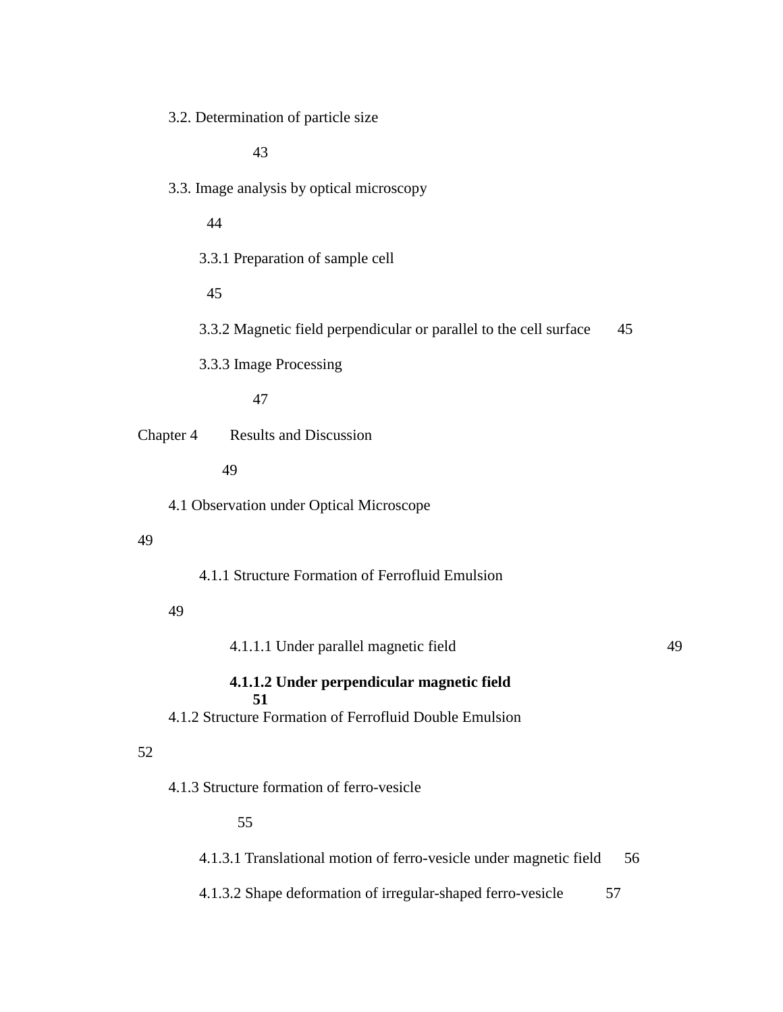3.2. Determination of particle size

43

3.3. Image analysis by optical microscopy

44

3.3.1 Preparation of sample cell

45

3.3.2 Magnetic field perpendicular or parallel to the cell surface 45

3.3.3 Image Processing

47

Chapter 4 Results and Discussion

49

4.1 Observation under Optical Microscope

#### 49

4.1.1 Structure Formation of Ferrofluid Emulsion

#### 49

4.1.1.1 Under parallel magnetic field 49

#### **4.1.1.2 Under perpendicular magnetic field 51**

4.1.2 Structure Formation of Ferrofluid Double Emulsion

#### 52

4.1.3 Structure formation of ferro-vesicle

### 55

4.1.3.1 Translational motion of ferro-vesicle under magnetic field 56

4.1.3.2 Shape deformation of irregular-shaped ferro-vesicle 57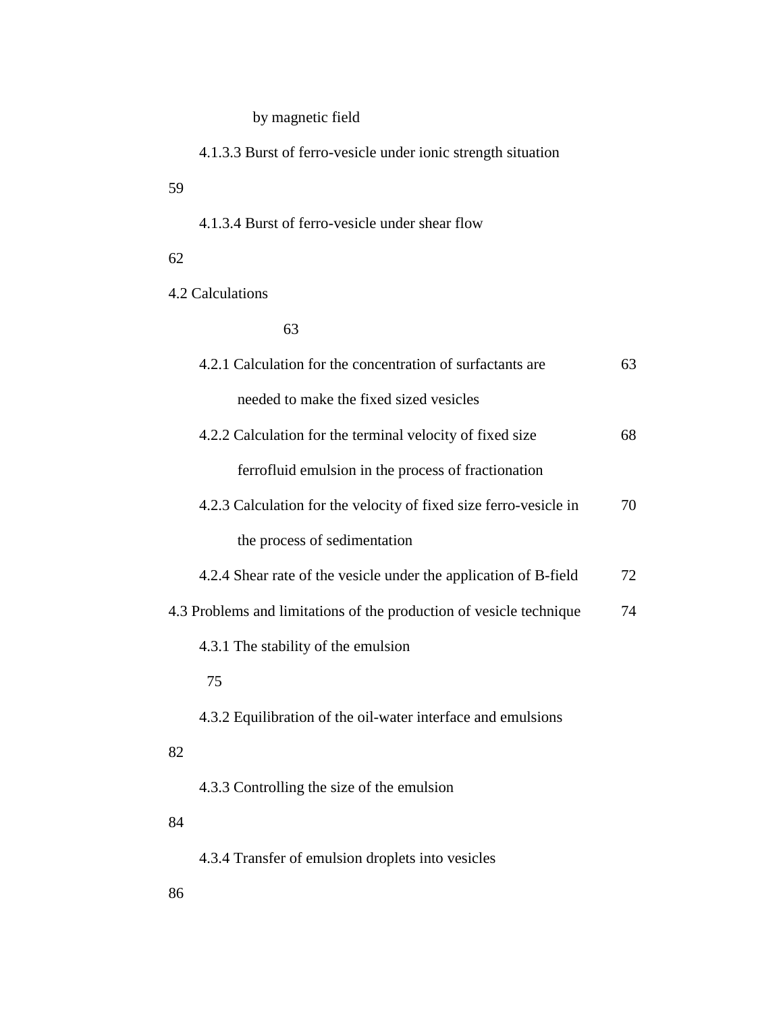## by magnetic field

4.1.3.3 Burst of ferro-vesicle under ionic strength situation

| 59                                                                  |    |
|---------------------------------------------------------------------|----|
| 4.1.3.4 Burst of ferro-vesicle under shear flow                     |    |
| 62                                                                  |    |
| 4.2 Calculations                                                    |    |
| 63                                                                  |    |
| 4.2.1 Calculation for the concentration of surfactants are          | 63 |
| needed to make the fixed sized vesicles                             |    |
| 4.2.2 Calculation for the terminal velocity of fixed size           | 68 |
| ferrofluid emulsion in the process of fractionation                 |    |
| 4.2.3 Calculation for the velocity of fixed size ferro-vesicle in   | 70 |
| the process of sedimentation                                        |    |
| 4.2.4 Shear rate of the vesicle under the application of B-field    | 72 |
| 4.3 Problems and limitations of the production of vesicle technique | 74 |
| 4.3.1 The stability of the emulsion                                 |    |
| 75                                                                  |    |
| 4.3.2 Equilibration of the oil-water interface and emulsions        |    |
| 82                                                                  |    |
| 4.3.3 Controlling the size of the emulsion                          |    |
| 84                                                                  |    |
| 4.3.4 Transfer of emulsion droplets into vesicles                   |    |
|                                                                     |    |

86